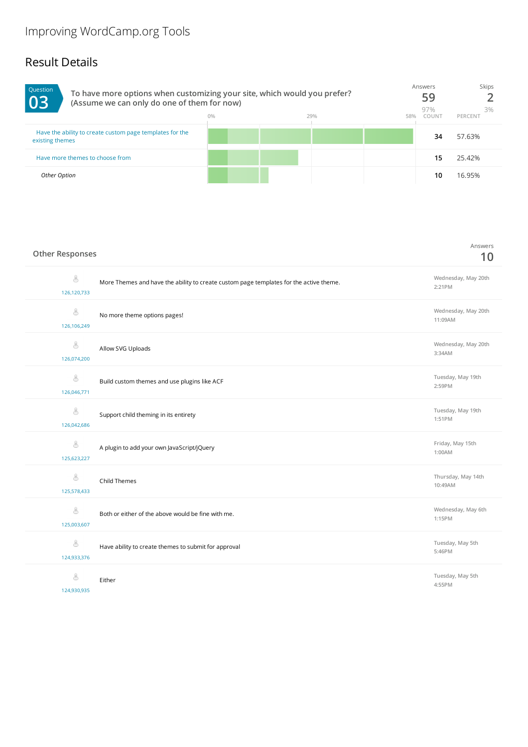## Improving WordCamp.org Tools

## Result Details

| Question<br>To have more options when customizing your site, which would you prefer?<br>03<br>(Assume we can only do one of them for now) | 0% | 29% | 58% | Answers<br>59<br>97%<br>COUNT | Skips<br>3%<br>PERCENT |
|-------------------------------------------------------------------------------------------------------------------------------------------|----|-----|-----|-------------------------------|------------------------|
| Have the ability to create custom page templates for the<br>existing themes                                                               |    |     |     | 34                            | 57.63%                 |
| Have more themes to choose from                                                                                                           |    |     |     | 15                            | 25.42%                 |
| Other Option                                                                                                                              |    |     |     | 10                            | 16.95%                 |

| <b>Other Responses</b> |                                                                                        | Answers<br>10                    |
|------------------------|----------------------------------------------------------------------------------------|----------------------------------|
| 8<br>126,120,733       | More Themes and have the ability to create custom page templates for the active theme. | Wednesday, May 20th<br>$2:21$ PM |
| 8<br>126,106,249       | No more theme options pages!                                                           | Wednesday, May 20th<br>11:09AM   |
| 8<br>126,074,200       | Allow SVG Uploads                                                                      | Wednesday, May 20th<br>3:34AM    |
| 8<br>126,046,771       | Build custom themes and use plugins like ACF                                           | Tuesday, May 19th<br>2:59PM      |
| 8<br>126,042,686       | Support child theming in its entirety                                                  | Tuesday, May 19th<br>1:51PM      |
| 8<br>125,623,227       | A plugin to add your own JavaScript/jQuery                                             | Friday, May 15th<br>1:00AM       |
| 8<br>125,578,433       | <b>Child Themes</b>                                                                    | Thursday, May 14th<br>10:49AM    |
| 8<br>125,003,607       | Both or either of the above would be fine with me.                                     | Wednesday, May 6th<br>1:15PM     |
| 8<br>124,933,376       | Have ability to create themes to submit for approval                                   | Tuesday, May 5th<br>5:46PM       |
| 8<br>124,930,935       | Either                                                                                 | Tuesday, May 5th<br>4:55PM       |